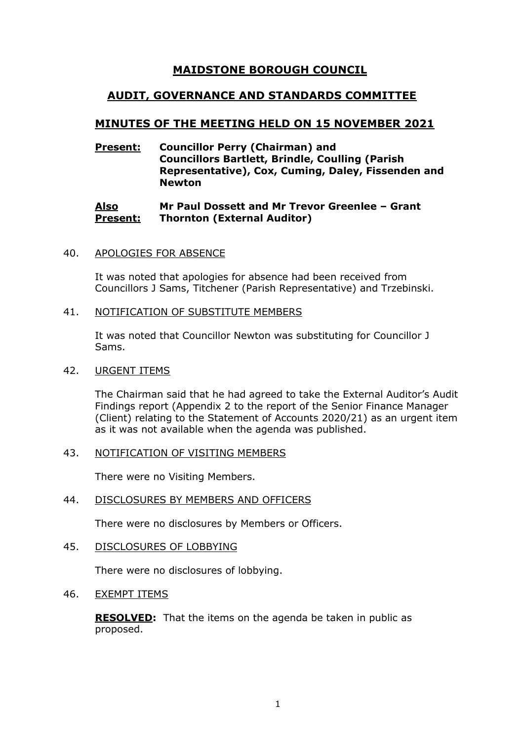# **MAIDSTONE BOROUGH COUNCIL**

# **AUDIT, GOVERNANCE AND STANDARDS COMMITTEE**

# **MINUTES OF THE MEETING HELD ON 15 NOVEMBER 2021**

# **Present: Councillor Perry (Chairman) and Councillors Bartlett, Brindle, Coulling (Parish Representative), Cox, Cuming, Daley, Fissenden and Newton**

#### **Also Present: Mr Paul Dossett and Mr Trevor Greenlee – Grant Thornton (External Auditor)**

# 40. APOLOGIES FOR ABSENCE

It was noted that apologies for absence had been received from Councillors J Sams, Titchener (Parish Representative) and Trzebinski.

### 41. NOTIFICATION OF SUBSTITUTE MEMBERS

It was noted that Councillor Newton was substituting for Councillor J Sams.

#### 42. URGENT ITEMS

The Chairman said that he had agreed to take the External Auditor's Audit Findings report (Appendix 2 to the report of the Senior Finance Manager (Client) relating to the Statement of Accounts 2020/21) as an urgent item as it was not available when the agenda was published.

# 43. NOTIFICATION OF VISITING MEMBERS

There were no Visiting Members.

# 44. DISCLOSURES BY MEMBERS AND OFFICERS

There were no disclosures by Members or Officers.

# 45. DISCLOSURES OF LOBBYING

There were no disclosures of lobbying.

# 46. EXEMPT ITEMS

**RESOLVED:** That the items on the agenda be taken in public as proposed.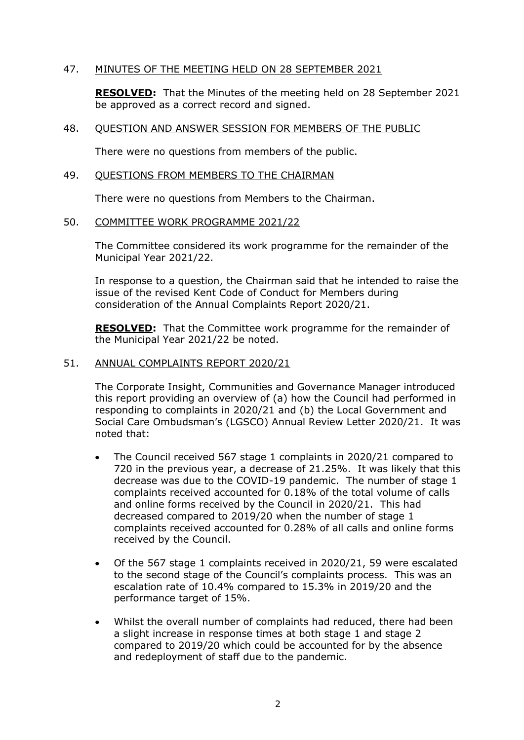# 47. MINUTES OF THE MEETING HELD ON 28 SEPTEMBER 2021

**RESOLVED:** That the Minutes of the meeting held on 28 September 2021 be approved as a correct record and signed.

# 48. QUESTION AND ANSWER SESSION FOR MEMBERS OF THE PUBLIC

There were no questions from members of the public.

#### 49. QUESTIONS FROM MEMBERS TO THE CHAIRMAN

There were no questions from Members to the Chairman.

### 50. COMMITTEE WORK PROGRAMME 2021/22

The Committee considered its work programme for the remainder of the Municipal Year 2021/22.

In response to a question, the Chairman said that he intended to raise the issue of the revised Kent Code of Conduct for Members during consideration of the Annual Complaints Report 2020/21.

**RESOLVED:** That the Committee work programme for the remainder of the Municipal Year 2021/22 be noted.

# 51. ANNUAL COMPLAINTS REPORT 2020/21

The Corporate Insight, Communities and Governance Manager introduced this report providing an overview of (a) how the Council had performed in responding to complaints in 2020/21 and (b) the Local Government and Social Care Ombudsman's (LGSCO) Annual Review Letter 2020/21. It was noted that:

- The Council received 567 stage 1 complaints in 2020/21 compared to 720 in the previous year, a decrease of 21.25%. It was likely that this decrease was due to the COVID-19 pandemic. The number of stage 1 complaints received accounted for 0.18% of the total volume of calls and online forms received by the Council in 2020/21. This had decreased compared to 2019/20 when the number of stage 1 complaints received accounted for 0.28% of all calls and online forms received by the Council.
- Of the 567 stage 1 complaints received in 2020/21, 59 were escalated to the second stage of the Council's complaints process. This was an escalation rate of 10.4% compared to 15.3% in 2019/20 and the performance target of 15%.
- Whilst the overall number of complaints had reduced, there had been a slight increase in response times at both stage 1 and stage 2 compared to 2019/20 which could be accounted for by the absence and redeployment of staff due to the pandemic.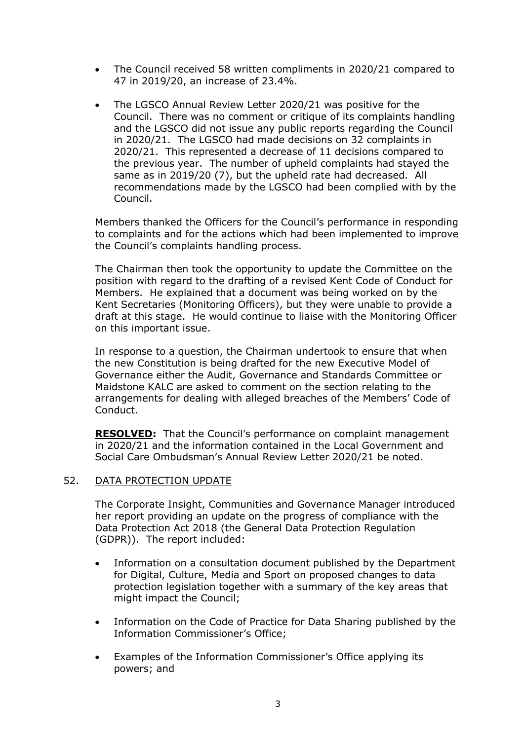- The Council received 58 written compliments in 2020/21 compared to 47 in 2019/20, an increase of 23.4%.
- The LGSCO Annual Review Letter 2020/21 was positive for the Council. There was no comment or critique of its complaints handling and the LGSCO did not issue any public reports regarding the Council in 2020/21. The LGSCO had made decisions on 32 complaints in 2020/21. This represented a decrease of 11 decisions compared to the previous year. The number of upheld complaints had stayed the same as in 2019/20 (7), but the upheld rate had decreased. All recommendations made by the LGSCO had been complied with by the Council.

Members thanked the Officers for the Council's performance in responding to complaints and for the actions which had been implemented to improve the Council's complaints handling process.

The Chairman then took the opportunity to update the Committee on the position with regard to the drafting of a revised Kent Code of Conduct for Members. He explained that a document was being worked on by the Kent Secretaries (Monitoring Officers), but they were unable to provide a draft at this stage. He would continue to liaise with the Monitoring Officer on this important issue.

In response to a question, the Chairman undertook to ensure that when the new Constitution is being drafted for the new Executive Model of Governance either the Audit, Governance and Standards Committee or Maidstone KALC are asked to comment on the section relating to the arrangements for dealing with alleged breaches of the Members' Code of Conduct.

**RESOLVED:** That the Council's performance on complaint management in 2020/21 and the information contained in the Local Government and Social Care Ombudsman's Annual Review Letter 2020/21 be noted.

# 52. DATA PROTECTION UPDATE

The Corporate Insight, Communities and Governance Manager introduced her report providing an update on the progress of compliance with the Data Protection Act 2018 (the General Data Protection Regulation (GDPR)). The report included:

- Information on a consultation document published by the Department for Digital, Culture, Media and Sport on proposed changes to data protection legislation together with a summary of the key areas that might impact the Council;
- Information on the Code of Practice for Data Sharing published by the Information Commissioner's Office;
- Examples of the Information Commissioner's Office applying its powers; and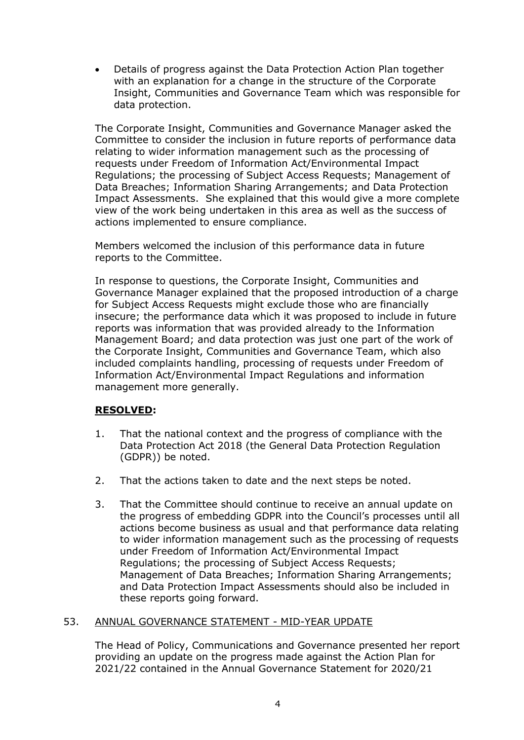• Details of progress against the Data Protection Action Plan together with an explanation for a change in the structure of the Corporate Insight, Communities and Governance Team which was responsible for data protection.

The Corporate Insight, Communities and Governance Manager asked the Committee to consider the inclusion in future reports of performance data relating to wider information management such as the processing of requests under Freedom of Information Act/Environmental Impact Regulations; the processing of Subject Access Requests; Management of Data Breaches; Information Sharing Arrangements; and Data Protection Impact Assessments. She explained that this would give a more complete view of the work being undertaken in this area as well as the success of actions implemented to ensure compliance.

Members welcomed the inclusion of this performance data in future reports to the Committee.

In response to questions, the Corporate Insight, Communities and Governance Manager explained that the proposed introduction of a charge for Subject Access Requests might exclude those who are financially insecure; the performance data which it was proposed to include in future reports was information that was provided already to the Information Management Board; and data protection was just one part of the work of the Corporate Insight, Communities and Governance Team, which also included complaints handling, processing of requests under Freedom of Information Act/Environmental Impact Regulations and information management more generally.

# **RESOLVED:**

- 1. That the national context and the progress of compliance with the Data Protection Act 2018 (the General Data Protection Regulation (GDPR)) be noted.
- 2. That the actions taken to date and the next steps be noted.
- 3. That the Committee should continue to receive an annual update on the progress of embedding GDPR into the Council's processes until all actions become business as usual and that performance data relating to wider information management such as the processing of requests under Freedom of Information Act/Environmental Impact Regulations; the processing of Subject Access Requests; Management of Data Breaches; Information Sharing Arrangements; and Data Protection Impact Assessments should also be included in these reports going forward.

# 53. ANNUAL GOVERNANCE STATEMENT - MID-YEAR UPDATE

The Head of Policy, Communications and Governance presented her report providing an update on the progress made against the Action Plan for 2021/22 contained in the Annual Governance Statement for 2020/21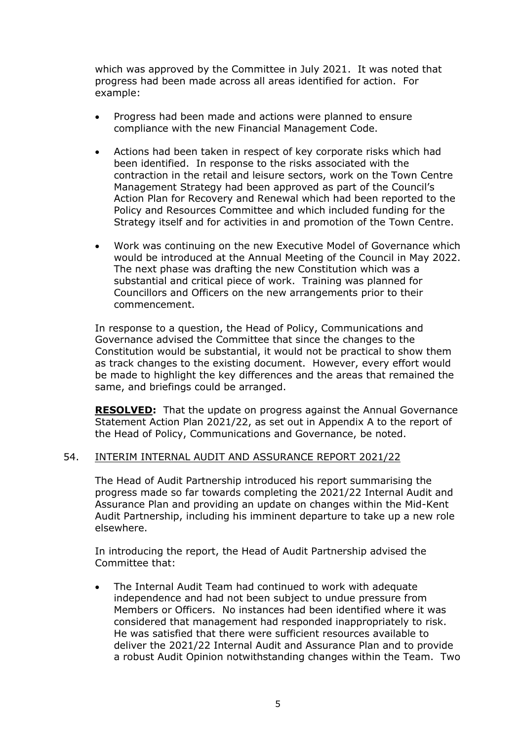which was approved by the Committee in July 2021. It was noted that progress had been made across all areas identified for action. For example:

- Progress had been made and actions were planned to ensure compliance with the new Financial Management Code.
- Actions had been taken in respect of key corporate risks which had been identified. In response to the risks associated with the contraction in the retail and leisure sectors, work on the Town Centre Management Strategy had been approved as part of the Council's Action Plan for Recovery and Renewal which had been reported to the Policy and Resources Committee and which included funding for the Strategy itself and for activities in and promotion of the Town Centre.
- Work was continuing on the new Executive Model of Governance which would be introduced at the Annual Meeting of the Council in May 2022. The next phase was drafting the new Constitution which was a substantial and critical piece of work. Training was planned for Councillors and Officers on the new arrangements prior to their commencement.

In response to a question, the Head of Policy, Communications and Governance advised the Committee that since the changes to the Constitution would be substantial, it would not be practical to show them as track changes to the existing document. However, every effort would be made to highlight the key differences and the areas that remained the same, and briefings could be arranged.

**RESOLVED:** That the update on progress against the Annual Governance Statement Action Plan 2021/22, as set out in Appendix A to the report of the Head of Policy, Communications and Governance, be noted.

# 54. INTERIM INTERNAL AUDIT AND ASSURANCE REPORT 2021/22

The Head of Audit Partnership introduced his report summarising the progress made so far towards completing the 2021/22 Internal Audit and Assurance Plan and providing an update on changes within the Mid-Kent Audit Partnership, including his imminent departure to take up a new role elsewhere.

In introducing the report, the Head of Audit Partnership advised the Committee that:

• The Internal Audit Team had continued to work with adequate independence and had not been subject to undue pressure from Members or Officers. No instances had been identified where it was considered that management had responded inappropriately to risk. He was satisfied that there were sufficient resources available to deliver the 2021/22 Internal Audit and Assurance Plan and to provide a robust Audit Opinion notwithstanding changes within the Team. Two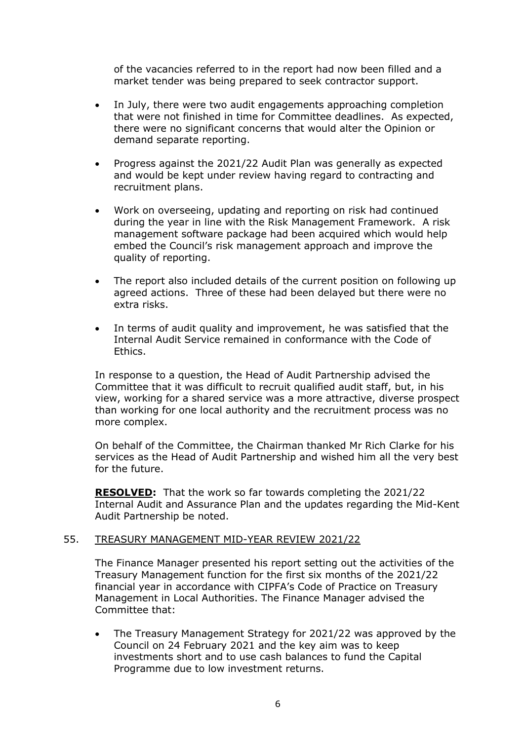of the vacancies referred to in the report had now been filled and a market tender was being prepared to seek contractor support.

- In July, there were two audit engagements approaching completion that were not finished in time for Committee deadlines. As expected, there were no significant concerns that would alter the Opinion or demand separate reporting.
- Progress against the 2021/22 Audit Plan was generally as expected and would be kept under review having regard to contracting and recruitment plans.
- Work on overseeing, updating and reporting on risk had continued during the year in line with the Risk Management Framework. A risk management software package had been acquired which would help embed the Council's risk management approach and improve the quality of reporting.
- The report also included details of the current position on following up agreed actions. Three of these had been delayed but there were no extra risks.
- In terms of audit quality and improvement, he was satisfied that the Internal Audit Service remained in conformance with the Code of Ethics.

In response to a question, the Head of Audit Partnership advised the Committee that it was difficult to recruit qualified audit staff, but, in his view, working for a shared service was a more attractive, diverse prospect than working for one local authority and the recruitment process was no more complex.

On behalf of the Committee, the Chairman thanked Mr Rich Clarke for his services as the Head of Audit Partnership and wished him all the very best for the future.

**RESOLVED:** That the work so far towards completing the 2021/22 Internal Audit and Assurance Plan and the updates regarding the Mid-Kent Audit Partnership be noted.

# 55. TREASURY MANAGEMENT MID-YEAR REVIEW 2021/22

The Finance Manager presented his report setting out the activities of the Treasury Management function for the first six months of the 2021/22 financial year in accordance with CIPFA's Code of Practice on Treasury Management in Local Authorities. The Finance Manager advised the Committee that:

• The Treasury Management Strategy for 2021/22 was approved by the Council on 24 February 2021 and the key aim was to keep investments short and to use cash balances to fund the Capital Programme due to low investment returns.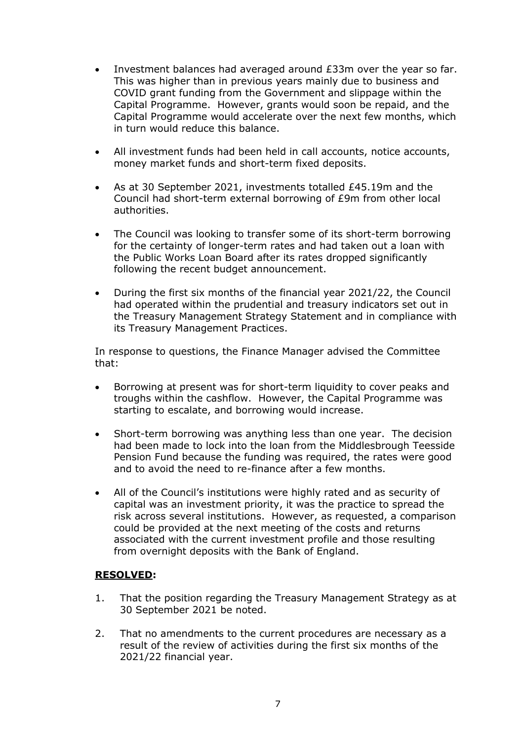- Investment balances had averaged around £33m over the year so far. This was higher than in previous years mainly due to business and COVID grant funding from the Government and slippage within the Capital Programme. However, grants would soon be repaid, and the Capital Programme would accelerate over the next few months, which in turn would reduce this balance.
- All investment funds had been held in call accounts, notice accounts, money market funds and short-term fixed deposits.
- As at 30 September 2021, investments totalled £45.19m and the Council had short-term external borrowing of £9m from other local authorities.
- The Council was looking to transfer some of its short-term borrowing for the certainty of longer-term rates and had taken out a loan with the Public Works Loan Board after its rates dropped significantly following the recent budget announcement.
- During the first six months of the financial year 2021/22, the Council had operated within the prudential and treasury indicators set out in the Treasury Management Strategy Statement and in compliance with its Treasury Management Practices.

In response to questions, the Finance Manager advised the Committee that:

- Borrowing at present was for short-term liquidity to cover peaks and troughs within the cashflow. However, the Capital Programme was starting to escalate, and borrowing would increase.
- Short-term borrowing was anything less than one year. The decision had been made to lock into the loan from the Middlesbrough Teesside Pension Fund because the funding was required, the rates were good and to avoid the need to re-finance after a few months.
- All of the Council's institutions were highly rated and as security of capital was an investment priority, it was the practice to spread the risk across several institutions. However, as requested, a comparison could be provided at the next meeting of the costs and returns associated with the current investment profile and those resulting from overnight deposits with the Bank of England.

# **RESOLVED:**

- 1. That the position regarding the Treasury Management Strategy as at 30 September 2021 be noted.
- 2. That no amendments to the current procedures are necessary as a result of the review of activities during the first six months of the 2021/22 financial year.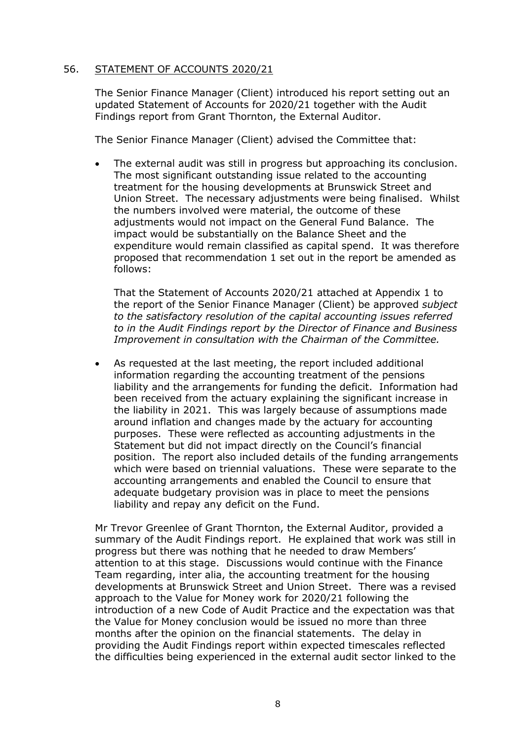# 56. STATEMENT OF ACCOUNTS 2020/21

The Senior Finance Manager (Client) introduced his report setting out an updated Statement of Accounts for 2020/21 together with the Audit Findings report from Grant Thornton, the External Auditor.

The Senior Finance Manager (Client) advised the Committee that:

• The external audit was still in progress but approaching its conclusion. The most significant outstanding issue related to the accounting treatment for the housing developments at Brunswick Street and Union Street. The necessary adjustments were being finalised. Whilst the numbers involved were material, the outcome of these adjustments would not impact on the General Fund Balance. The impact would be substantially on the Balance Sheet and the expenditure would remain classified as capital spend. It was therefore proposed that recommendation 1 set out in the report be amended as follows:

That the Statement of Accounts 2020/21 attached at Appendix 1 to the report of the Senior Finance Manager (Client) be approved *subject to the satisfactory resolution of the capital accounting issues referred to in the Audit Findings report by the Director of Finance and Business Improvement in consultation with the Chairman of the Committee.*

• As requested at the last meeting, the report included additional information regarding the accounting treatment of the pensions liability and the arrangements for funding the deficit. Information had been received from the actuary explaining the significant increase in the liability in 2021. This was largely because of assumptions made around inflation and changes made by the actuary for accounting purposes. These were reflected as accounting adjustments in the Statement but did not impact directly on the Council's financial position. The report also included details of the funding arrangements which were based on triennial valuations. These were separate to the accounting arrangements and enabled the Council to ensure that adequate budgetary provision was in place to meet the pensions liability and repay any deficit on the Fund.

Mr Trevor Greenlee of Grant Thornton, the External Auditor, provided a summary of the Audit Findings report. He explained that work was still in progress but there was nothing that he needed to draw Members' attention to at this stage. Discussions would continue with the Finance Team regarding, inter alia, the accounting treatment for the housing developments at Brunswick Street and Union Street. There was a revised approach to the Value for Money work for 2020/21 following the introduction of a new Code of Audit Practice and the expectation was that the Value for Money conclusion would be issued no more than three months after the opinion on the financial statements. The delay in providing the Audit Findings report within expected timescales reflected the difficulties being experienced in the external audit sector linked to the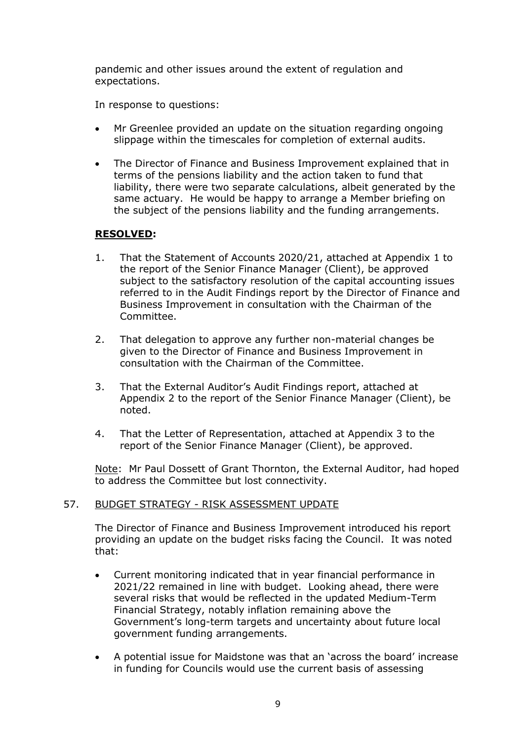pandemic and other issues around the extent of regulation and expectations.

In response to questions:

- Mr Greenlee provided an update on the situation regarding ongoing slippage within the timescales for completion of external audits.
- The Director of Finance and Business Improvement explained that in terms of the pensions liability and the action taken to fund that liability, there were two separate calculations, albeit generated by the same actuary. He would be happy to arrange a Member briefing on the subject of the pensions liability and the funding arrangements.

# **RESOLVED:**

- 1. That the Statement of Accounts 2020/21, attached at Appendix 1 to the report of the Senior Finance Manager (Client), be approved subject to the satisfactory resolution of the capital accounting issues referred to in the Audit Findings report by the Director of Finance and Business Improvement in consultation with the Chairman of the Committee.
- 2. That delegation to approve any further non-material changes be given to the Director of Finance and Business Improvement in consultation with the Chairman of the Committee.
- 3. That the External Auditor's Audit Findings report, attached at Appendix 2 to the report of the Senior Finance Manager (Client), be noted.
- 4. That the Letter of Representation, attached at Appendix 3 to the report of the Senior Finance Manager (Client), be approved.

Note: Mr Paul Dossett of Grant Thornton, the External Auditor, had hoped to address the Committee but lost connectivity.

# 57. BUDGET STRATEGY - RISK ASSESSMENT UPDATE

The Director of Finance and Business Improvement introduced his report providing an update on the budget risks facing the Council. It was noted that:

- Current monitoring indicated that in year financial performance in 2021/22 remained in line with budget. Looking ahead, there were several risks that would be reflected in the updated Medium-Term Financial Strategy, notably inflation remaining above the Government's long-term targets and uncertainty about future local government funding arrangements.
- A potential issue for Maidstone was that an 'across the board' increase in funding for Councils would use the current basis of assessing